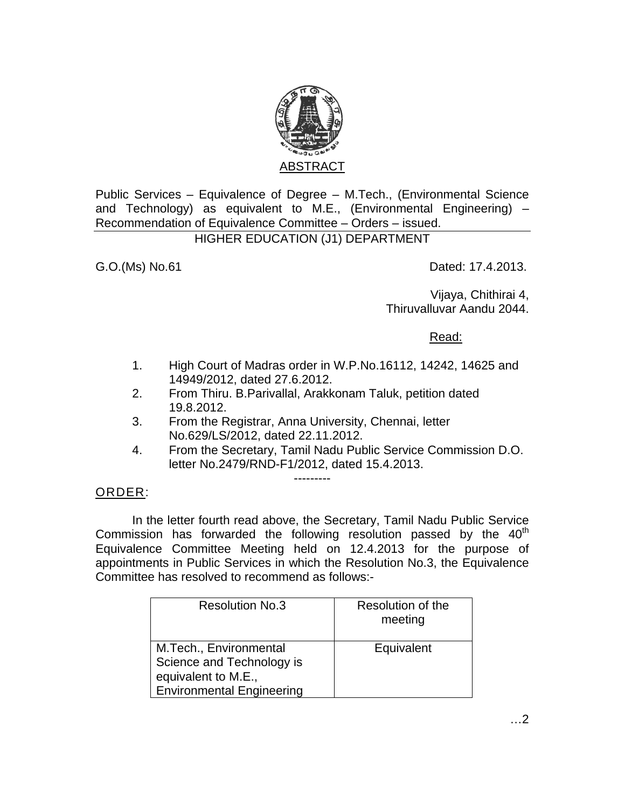

Public Services – Equivalence of Degree – M.Tech., (Environmental Science and Technology) as equivalent to M.E., (Environmental Engineering) – Recommendation of Equivalence Committee – Orders – issued.

## HIGHER EDUCATION (J1) DEPARTMENT

G.O.(Ms) No.61 Dated: 17.4.2013.

Vijaya, Chithirai 4, Thiruvalluvar Aandu 2044.

Read:

- 1. High Court of Madras order in W.P.No.16112, 14242, 14625 and 14949/2012, dated 27.6.2012.
- 2. From Thiru. B.Parivallal, Arakkonam Taluk, petition dated 19.8.2012.
- 3. From the Registrar, Anna University, Chennai, letter No.629/LS/2012, dated 22.11.2012.
- 4. From the Secretary, Tamil Nadu Public Service Commission D.O. letter No.2479/RND-F1/2012, dated 15.4.2013.

## ORDER:

 In the letter fourth read above, the Secretary, Tamil Nadu Public Service Commission has forwarded the following resolution passed by the  $40<sup>th</sup>$ Equivalence Committee Meeting held on 12.4.2013 for the purpose of appointments in Public Services in which the Resolution No.3, the Equivalence Committee has resolved to recommend as follows:-

---------

| <b>Resolution No.3</b>                                                                                         | Resolution of the<br>meeting |
|----------------------------------------------------------------------------------------------------------------|------------------------------|
| M.Tech., Environmental<br>Science and Technology is<br>equivalent to M.E.,<br><b>Environmental Engineering</b> | Equivalent                   |